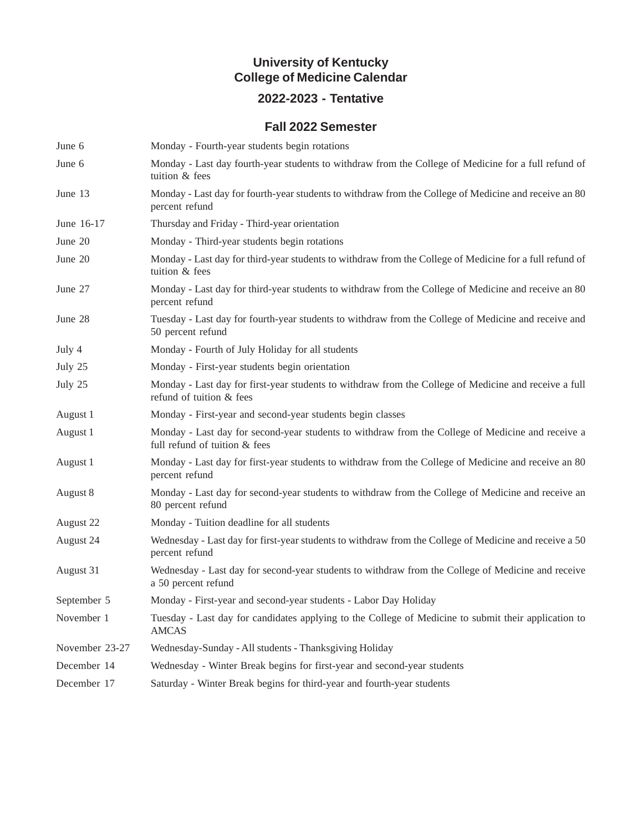#### **University of Kentucky College of Medicine Calendar**

## **2022-2023 - Tentative**

#### **Fall 2022 Semester**

| June 6         | Monday - Fourth-year students begin rotations                                                                                      |
|----------------|------------------------------------------------------------------------------------------------------------------------------------|
| June 6         | Monday - Last day fourth-year students to withdraw from the College of Medicine for a full refund of<br>tuition & fees             |
| June 13        | Monday - Last day for fourth-year students to withdraw from the College of Medicine and receive an 80<br>percent refund            |
| June 16-17     | Thursday and Friday - Third-year orientation                                                                                       |
| June $20$      | Monday - Third-year students begin rotations                                                                                       |
| June 20        | Monday - Last day for third-year students to withdraw from the College of Medicine for a full refund of<br>tuition & fees          |
| June 27        | Monday - Last day for third-year students to withdraw from the College of Medicine and receive an 80<br>percent refund             |
| June 28        | Tuesday - Last day for fourth-year students to withdraw from the College of Medicine and receive and<br>50 percent refund          |
| July 4         | Monday - Fourth of July Holiday for all students                                                                                   |
| July 25        | Monday - First-year students begin orientation                                                                                     |
| July 25        | Monday - Last day for first-year students to withdraw from the College of Medicine and receive a full<br>refund of tuition & fees  |
| August 1       | Monday - First-year and second-year students begin classes                                                                         |
| August 1       | Monday - Last day for second-year students to withdraw from the College of Medicine and receive a<br>full refund of tuition & fees |
| August 1       | Monday - Last day for first-year students to withdraw from the College of Medicine and receive an 80<br>percent refund             |
| August 8       | Monday - Last day for second-year students to withdraw from the College of Medicine and receive an<br>80 percent refund            |
| August 22      | Monday - Tuition deadline for all students                                                                                         |
| August 24      | Wednesday - Last day for first-year students to withdraw from the College of Medicine and receive a 50<br>percent refund           |
| August 31      | Wednesday - Last day for second-year students to withdraw from the College of Medicine and receive<br>a 50 percent refund          |
| September 5    | Monday - First-year and second-year students - Labor Day Holiday                                                                   |
| November 1     | Tuesday - Last day for candidates applying to the College of Medicine to submit their application to<br><b>AMCAS</b>               |
| November 23-27 | Wednesday-Sunday - All students - Thanksgiving Holiday                                                                             |
| December 14    | Wednesday - Winter Break begins for first-year and second-year students                                                            |
| December 17    | Saturday - Winter Break begins for third-year and fourth-year students                                                             |